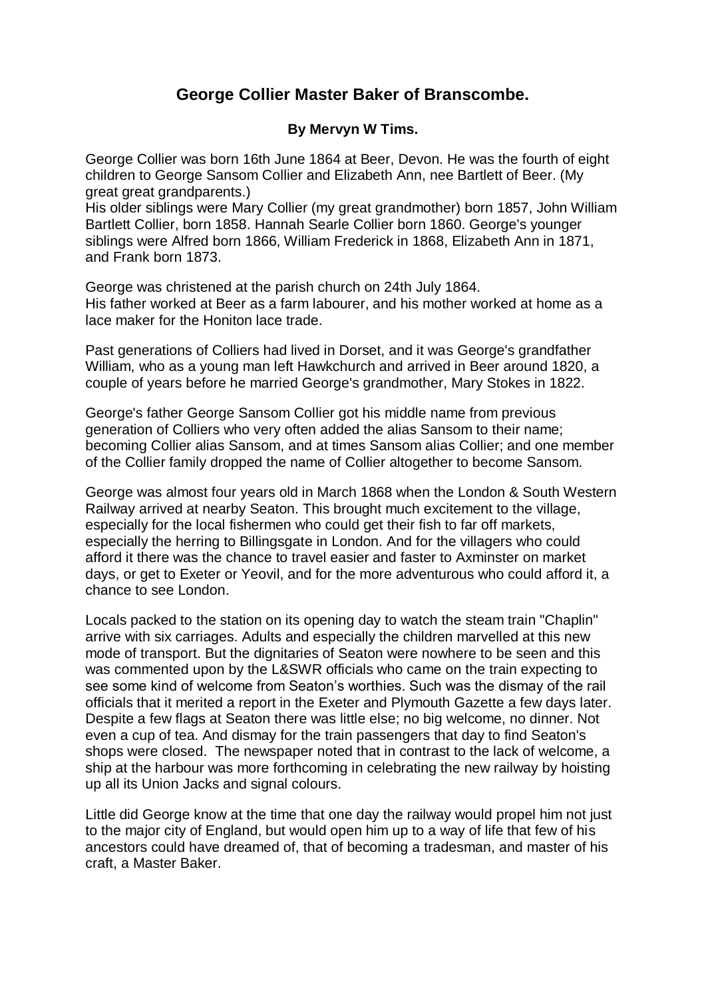## **George Collier Master Baker of Branscombe.**

## **By Mervyn W Tims.**

George Collier was born 16th June 1864 at Beer, Devon. He was the fourth of eight children to George Sansom Collier and Elizabeth Ann, nee Bartlett of Beer. (My great great grandparents.)

His older siblings were Mary Collier (my great grandmother) born 1857, John William Bartlett Collier, born 1858. Hannah Searle Collier born 1860. George's younger siblings were Alfred born 1866, William Frederick in 1868, Elizabeth Ann in 1871, and Frank born 1873.

George was christened at the parish church on 24th July 1864. His father worked at Beer as a farm labourer, and his mother worked at home as a lace maker for the Honiton lace trade.

Past generations of Colliers had lived in Dorset, and it was George's grandfather William, who as a young man left Hawkchurch and arrived in Beer around 1820, a couple of years before he married George's grandmother, Mary Stokes in 1822.

George's father George Sansom Collier got his middle name from previous generation of Colliers who very often added the alias Sansom to their name; becoming Collier alias Sansom, and at times Sansom alias Collier; and one member of the Collier family dropped the name of Collier altogether to become Sansom.

George was almost four years old in March 1868 when the London & South Western Railway arrived at nearby Seaton. This brought much excitement to the village, especially for the local fishermen who could get their fish to far off markets, especially the herring to Billingsgate in London. And for the villagers who could afford it there was the chance to travel easier and faster to Axminster on market days, or get to Exeter or Yeovil, and for the more adventurous who could afford it, a chance to see London.

Locals packed to the station on its opening day to watch the steam train "Chaplin" arrive with six carriages. Adults and especially the children marvelled at this new mode of transport. But the dignitaries of Seaton were nowhere to be seen and this was commented upon by the L&SWR officials who came on the train expecting to see some kind of welcome from Seaton's worthies. Such was the dismay of the rail officials that it merited a report in the Exeter and Plymouth Gazette a few days later. Despite a few flags at Seaton there was little else; no big welcome, no dinner. Not even a cup of tea. And dismay for the train passengers that day to find Seaton's shops were closed. The newspaper noted that in contrast to the lack of welcome, a ship at the harbour was more forthcoming in celebrating the new railway by hoisting up all its Union Jacks and signal colours.

Little did George know at the time that one day the railway would propel him not just to the major city of England, but would open him up to a way of life that few of his ancestors could have dreamed of, that of becoming a tradesman, and master of his craft, a Master Baker.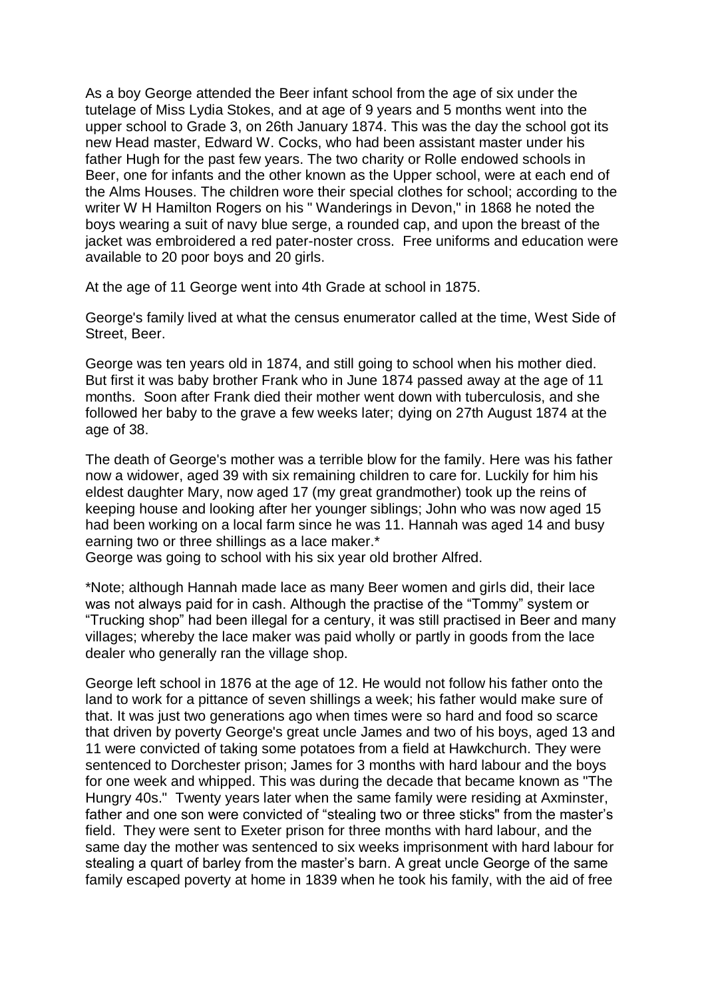As a boy George attended the Beer infant school from the age of six under the tutelage of Miss Lydia Stokes, and at age of 9 years and 5 months went into the upper school to Grade 3, on 26th January 1874. This was the day the school got its new Head master, Edward W. Cocks, who had been assistant master under his father Hugh for the past few years. The two charity or Rolle endowed schools in Beer, one for infants and the other known as the Upper school, were at each end of the Alms Houses. The children wore their special clothes for school; according to the writer W H Hamilton Rogers on his " Wanderings in Devon," in 1868 he noted the boys wearing a suit of navy blue serge, a rounded cap, and upon the breast of the jacket was embroidered a red pater-noster cross. Free uniforms and education were available to 20 poor boys and 20 girls.

At the age of 11 George went into 4th Grade at school in 1875.

George's family lived at what the census enumerator called at the time, West Side of Street, Beer.

George was ten years old in 1874, and still going to school when his mother died. But first it was baby brother Frank who in June 1874 passed away at the age of 11 months. Soon after Frank died their mother went down with tuberculosis, and she followed her baby to the grave a few weeks later; dying on 27th August 1874 at the age of 38.

The death of George's mother was a terrible blow for the family. Here was his father now a widower, aged 39 with six remaining children to care for. Luckily for him his eldest daughter Mary, now aged 17 (my great grandmother) took up the reins of keeping house and looking after her younger siblings; John who was now aged 15 had been working on a local farm since he was 11. Hannah was aged 14 and busy earning two or three shillings as a lace maker.\*

George was going to school with his six year old brother Alfred.

\*Note; although Hannah made lace as many Beer women and girls did, their lace was not always paid for in cash. Although the practise of the "Tommy" system or "Trucking shop" had been illegal for a century, it was still practised in Beer and many villages; whereby the lace maker was paid wholly or partly in goods from the lace dealer who generally ran the village shop.

George left school in 1876 at the age of 12. He would not follow his father onto the land to work for a pittance of seven shillings a week; his father would make sure of that. It was just two generations ago when times were so hard and food so scarce that driven by poverty George's great uncle James and two of his boys, aged 13 and 11 were convicted of taking some potatoes from a field at Hawkchurch. They were sentenced to Dorchester prison; James for 3 months with hard labour and the boys for one week and whipped. This was during the decade that became known as "The Hungry 40s." Twenty years later when the same family were residing at Axminster, father and one son were convicted of "stealing two or three sticks" from the master's field. They were sent to Exeter prison for three months with hard labour, and the same day the mother was sentenced to six weeks imprisonment with hard labour for stealing a quart of barley from the master's barn. A great uncle George of the same family escaped poverty at home in 1839 when he took his family, with the aid of free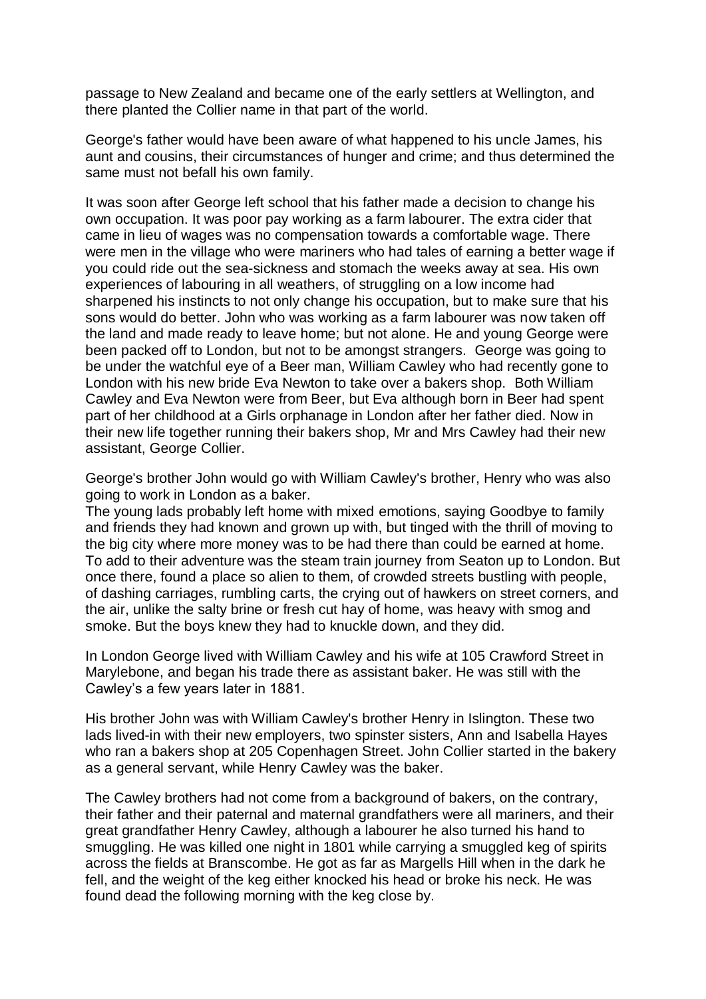passage to New Zealand and became one of the early settlers at Wellington, and there planted the Collier name in that part of the world.

George's father would have been aware of what happened to his uncle James, his aunt and cousins, their circumstances of hunger and crime; and thus determined the same must not befall his own family.

It was soon after George left school that his father made a decision to change his own occupation. It was poor pay working as a farm labourer. The extra cider that came in lieu of wages was no compensation towards a comfortable wage. There were men in the village who were mariners who had tales of earning a better wage if you could ride out the sea-sickness and stomach the weeks away at sea. His own experiences of labouring in all weathers, of struggling on a low income had sharpened his instincts to not only change his occupation, but to make sure that his sons would do better. John who was working as a farm labourer was now taken off the land and made ready to leave home; but not alone. He and young George were been packed off to London, but not to be amongst strangers. George was going to be under the watchful eye of a Beer man, William Cawley who had recently gone to London with his new bride Eva Newton to take over a bakers shop. Both William Cawley and Eva Newton were from Beer, but Eva although born in Beer had spent part of her childhood at a Girls orphanage in London after her father died. Now in their new life together running their bakers shop, Mr and Mrs Cawley had their new assistant, George Collier.

George's brother John would go with William Cawley's brother, Henry who was also going to work in London as a baker.

The young lads probably left home with mixed emotions, saying Goodbye to family and friends they had known and grown up with, but tinged with the thrill of moving to the big city where more money was to be had there than could be earned at home. To add to their adventure was the steam train journey from Seaton up to London. But once there, found a place so alien to them, of crowded streets bustling with people, of dashing carriages, rumbling carts, the crying out of hawkers on street corners, and the air, unlike the salty brine or fresh cut hay of home, was heavy with smog and smoke. But the boys knew they had to knuckle down, and they did.

In London George lived with William Cawley and his wife at 105 Crawford Street in Marylebone, and began his trade there as assistant baker. He was still with the Cawley's a few years later in 1881.

His brother John was with William Cawley's brother Henry in Islington. These two lads lived-in with their new employers, two spinster sisters, Ann and Isabella Hayes who ran a bakers shop at 205 Copenhagen Street. John Collier started in the bakery as a general servant, while Henry Cawley was the baker.

The Cawley brothers had not come from a background of bakers, on the contrary, their father and their paternal and maternal grandfathers were all mariners, and their great grandfather Henry Cawley, although a labourer he also turned his hand to smuggling. He was killed one night in 1801 while carrying a smuggled keg of spirits across the fields at Branscombe. He got as far as Margells Hill when in the dark he fell, and the weight of the keg either knocked his head or broke his neck. He was found dead the following morning with the keg close by.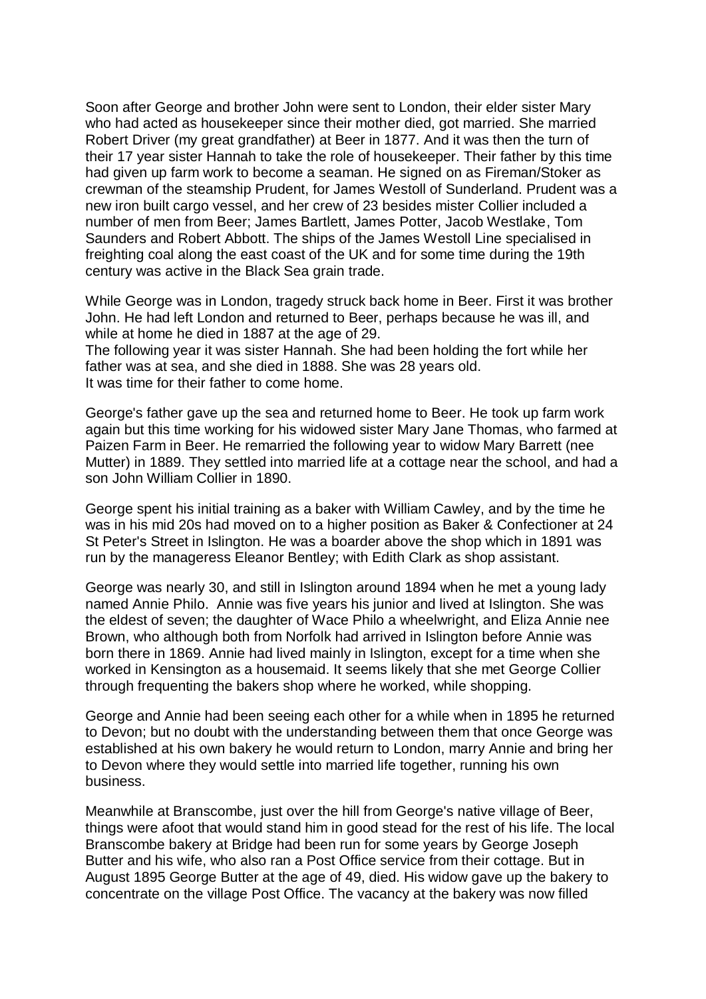Soon after George and brother John were sent to London, their elder sister Mary who had acted as housekeeper since their mother died, got married. She married Robert Driver (my great grandfather) at Beer in 1877. And it was then the turn of their 17 year sister Hannah to take the role of housekeeper. Their father by this time had given up farm work to become a seaman. He signed on as Fireman/Stoker as crewman of the steamship Prudent, for James Westoll of Sunderland. Prudent was a new iron built cargo vessel, and her crew of 23 besides mister Collier included a number of men from Beer; James Bartlett, James Potter, Jacob Westlake, Tom Saunders and Robert Abbott. The ships of the James Westoll Line specialised in freighting coal along the east coast of the UK and for some time during the 19th century was active in the Black Sea grain trade.

While George was in London, tragedy struck back home in Beer. First it was brother John. He had left London and returned to Beer, perhaps because he was ill, and while at home he died in 1887 at the age of 29. The following year it was sister Hannah. She had been holding the fort while her father was at sea, and she died in 1888. She was 28 years old.

It was time for their father to come home.

George's father gave up the sea and returned home to Beer. He took up farm work again but this time working for his widowed sister Mary Jane Thomas, who farmed at Paizen Farm in Beer. He remarried the following year to widow Mary Barrett (nee Mutter) in 1889. They settled into married life at a cottage near the school, and had a son John William Collier in 1890.

George spent his initial training as a baker with William Cawley, and by the time he was in his mid 20s had moved on to a higher position as Baker & Confectioner at 24 St Peter's Street in Islington. He was a boarder above the shop which in 1891 was run by the manageress Eleanor Bentley; with Edith Clark as shop assistant.

George was nearly 30, and still in Islington around 1894 when he met a young lady named Annie Philo. Annie was five years his junior and lived at Islington. She was the eldest of seven; the daughter of Wace Philo a wheelwright, and Eliza Annie nee Brown, who although both from Norfolk had arrived in Islington before Annie was born there in 1869. Annie had lived mainly in Islington, except for a time when she worked in Kensington as a housemaid. It seems likely that she met George Collier through frequenting the bakers shop where he worked, while shopping.

George and Annie had been seeing each other for a while when in 1895 he returned to Devon; but no doubt with the understanding between them that once George was established at his own bakery he would return to London, marry Annie and bring her to Devon where they would settle into married life together, running his own business.

Meanwhile at Branscombe, just over the hill from George's native village of Beer, things were afoot that would stand him in good stead for the rest of his life. The local Branscombe bakery at Bridge had been run for some years by George Joseph Butter and his wife, who also ran a Post Office service from their cottage. But in August 1895 George Butter at the age of 49, died. His widow gave up the bakery to concentrate on the village Post Office. The vacancy at the bakery was now filled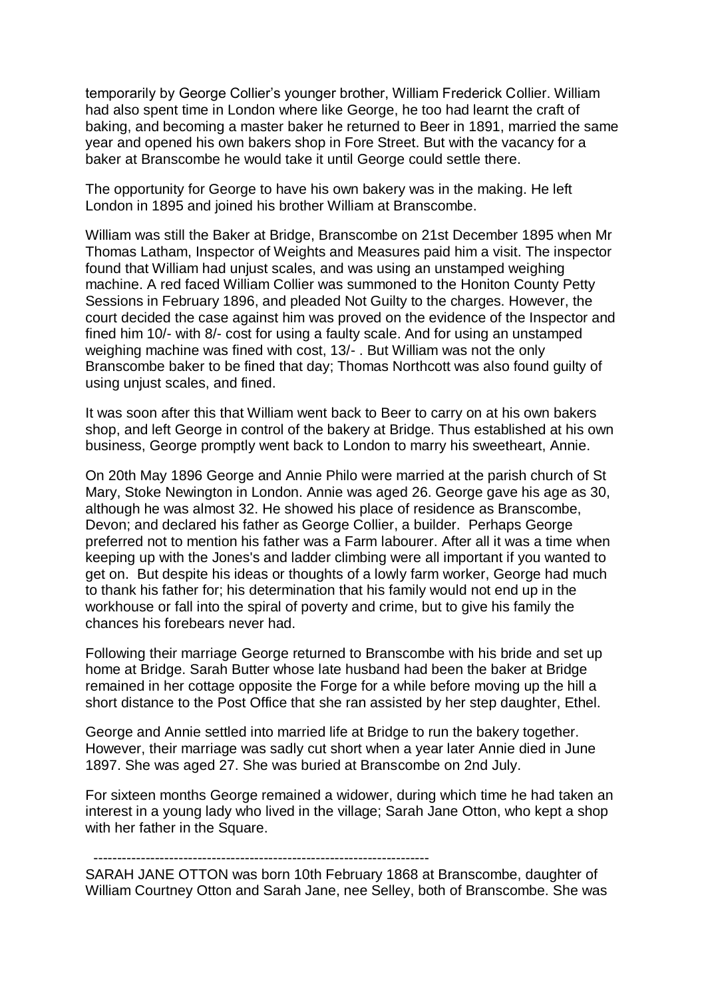temporarily by George Collier's younger brother, William Frederick Collier. William had also spent time in London where like George, he too had learnt the craft of baking, and becoming a master baker he returned to Beer in 1891, married the same year and opened his own bakers shop in Fore Street. But with the vacancy for a baker at Branscombe he would take it until George could settle there.

The opportunity for George to have his own bakery was in the making. He left London in 1895 and joined his brother William at Branscombe.

William was still the Baker at Bridge, Branscombe on 21st December 1895 when Mr Thomas Latham, Inspector of Weights and Measures paid him a visit. The inspector found that William had unjust scales, and was using an unstamped weighing machine. A red faced William Collier was summoned to the Honiton County Petty Sessions in February 1896, and pleaded Not Guilty to the charges. However, the court decided the case against him was proved on the evidence of the Inspector and fined him 10/- with 8/- cost for using a faulty scale. And for using an unstamped weighing machine was fined with cost, 13/- . But William was not the only Branscombe baker to be fined that day; Thomas Northcott was also found guilty of using unjust scales, and fined.

It was soon after this that William went back to Beer to carry on at his own bakers shop, and left George in control of the bakery at Bridge. Thus established at his own business, George promptly went back to London to marry his sweetheart, Annie.

On 20th May 1896 George and Annie Philo were married at the parish church of St Mary, Stoke Newington in London. Annie was aged 26. George gave his age as 30, although he was almost 32. He showed his place of residence as Branscombe, Devon; and declared his father as George Collier, a builder. Perhaps George preferred not to mention his father was a Farm labourer. After all it was a time when keeping up with the Jones's and ladder climbing were all important if you wanted to get on. But despite his ideas or thoughts of a lowly farm worker, George had much to thank his father for; his determination that his family would not end up in the workhouse or fall into the spiral of poverty and crime, but to give his family the chances his forebears never had.

Following their marriage George returned to Branscombe with his bride and set up home at Bridge. Sarah Butter whose late husband had been the baker at Bridge remained in her cottage opposite the Forge for a while before moving up the hill a short distance to the Post Office that she ran assisted by her step daughter, Ethel.

George and Annie settled into married life at Bridge to run the bakery together. However, their marriage was sadly cut short when a year later Annie died in June 1897. She was aged 27. She was buried at Branscombe on 2nd July.

For sixteen months George remained a widower, during which time he had taken an interest in a young lady who lived in the village; Sarah Jane Otton, who kept a shop with her father in the Square.

-----------------------------------------------------------------------

SARAH JANE OTTON was born 10th February 1868 at Branscombe, daughter of William Courtney Otton and Sarah Jane, nee Selley, both of Branscombe. She was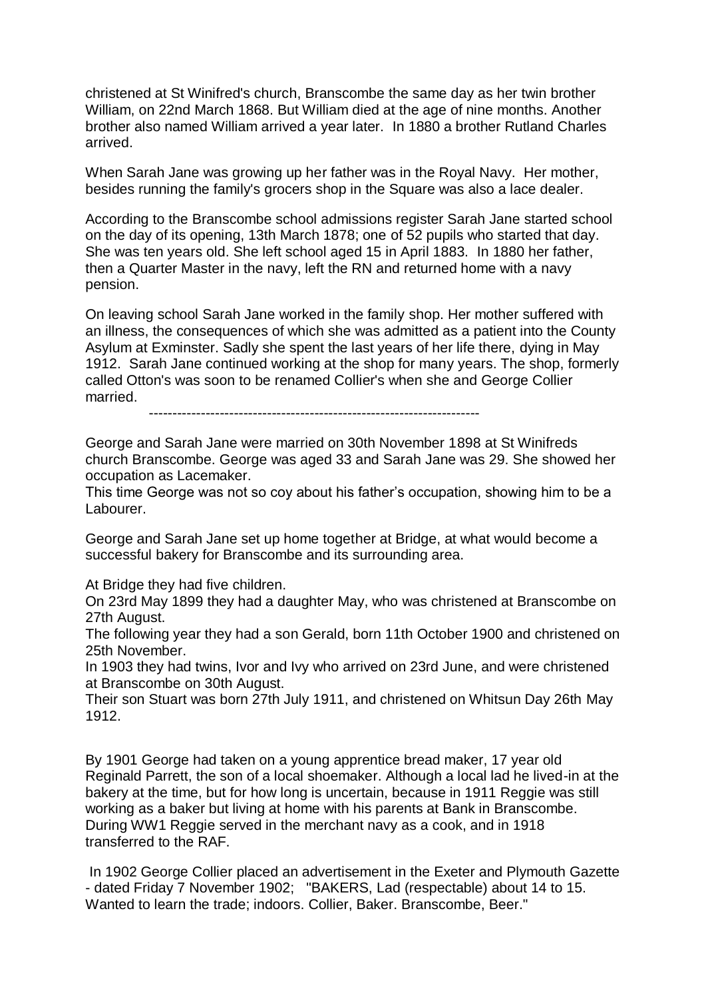christened at St Winifred's church, Branscombe the same day as her twin brother William, on 22nd March 1868. But William died at the age of nine months. Another brother also named William arrived a year later. In 1880 a brother Rutland Charles arrived.

When Sarah Jane was growing up her father was in the Royal Navy. Her mother, besides running the family's grocers shop in the Square was also a lace dealer.

According to the Branscombe school admissions register Sarah Jane started school on the day of its opening, 13th March 1878; one of 52 pupils who started that day. She was ten years old. She left school aged 15 in April 1883. In 1880 her father, then a Quarter Master in the navy, left the RN and returned home with a navy pension.

On leaving school Sarah Jane worked in the family shop. Her mother suffered with an illness, the consequences of which she was admitted as a patient into the County Asylum at Exminster. Sadly she spent the last years of her life there, dying in May 1912. Sarah Jane continued working at the shop for many years. The shop, formerly called Otton's was soon to be renamed Collier's when she and George Collier married.

----------------------------------------------------------------------

George and Sarah Jane were married on 30th November 1898 at St Winifreds church Branscombe. George was aged 33 and Sarah Jane was 29. She showed her occupation as Lacemaker.

This time George was not so coy about his father's occupation, showing him to be a Labourer.

George and Sarah Jane set up home together at Bridge, at what would become a successful bakery for Branscombe and its surrounding area.

At Bridge they had five children.

On 23rd May 1899 they had a daughter May, who was christened at Branscombe on 27th August.

The following year they had a son Gerald, born 11th October 1900 and christened on 25th November.

In 1903 they had twins, Ivor and Ivy who arrived on 23rd June, and were christened at Branscombe on 30th August.

Their son Stuart was born 27th July 1911, and christened on Whitsun Day 26th May 1912.

By 1901 George had taken on a young apprentice bread maker, 17 year old Reginald Parrett, the son of a local shoemaker. Although a local lad he lived-in at the bakery at the time, but for how long is uncertain, because in 1911 Reggie was still working as a baker but living at home with his parents at Bank in Branscombe. During WW1 Reggie served in the merchant navy as a cook, and in 1918 transferred to the RAF.

In 1902 George Collier placed an advertisement in the Exeter and Plymouth Gazette - dated Friday 7 November 1902; "BAKERS, Lad (respectable) about 14 to 15. Wanted to learn the trade; indoors. Collier, Baker. Branscombe, Beer."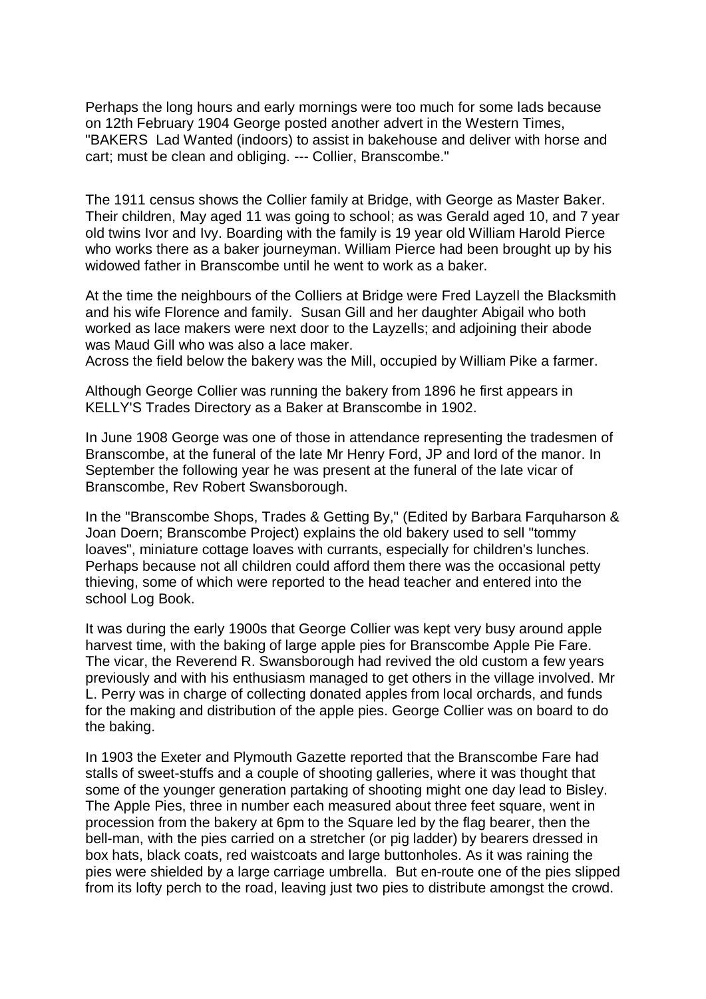Perhaps the long hours and early mornings were too much for some lads because on 12th February 1904 George posted another advert in the Western Times, "BAKERS Lad Wanted (indoors) to assist in bakehouse and deliver with horse and cart; must be clean and obliging. --- Collier, Branscombe."

The 1911 census shows the Collier family at Bridge, with George as Master Baker. Their children, May aged 11 was going to school; as was Gerald aged 10, and 7 year old twins Ivor and Ivy. Boarding with the family is 19 year old William Harold Pierce who works there as a baker journeyman. William Pierce had been brought up by his widowed father in Branscombe until he went to work as a baker.

At the time the neighbours of the Colliers at Bridge were Fred Layzell the Blacksmith and his wife Florence and family. Susan Gill and her daughter Abigail who both worked as lace makers were next door to the Layzells; and adjoining their abode was Maud Gill who was also a lace maker.

Across the field below the bakery was the Mill, occupied by William Pike a farmer.

Although George Collier was running the bakery from 1896 he first appears in KELLY'S Trades Directory as a Baker at Branscombe in 1902.

In June 1908 George was one of those in attendance representing the tradesmen of Branscombe, at the funeral of the late Mr Henry Ford, JP and lord of the manor. In September the following year he was present at the funeral of the late vicar of Branscombe, Rev Robert Swansborough.

In the "Branscombe Shops, Trades & Getting By," (Edited by Barbara Farquharson & Joan Doern; Branscombe Project) explains the old bakery used to sell "tommy loaves", miniature cottage loaves with currants, especially for children's lunches. Perhaps because not all children could afford them there was the occasional petty thieving, some of which were reported to the head teacher and entered into the school Log Book.

It was during the early 1900s that George Collier was kept very busy around apple harvest time, with the baking of large apple pies for Branscombe Apple Pie Fare. The vicar, the Reverend R. Swansborough had revived the old custom a few years previously and with his enthusiasm managed to get others in the village involved. Mr L. Perry was in charge of collecting donated apples from local orchards, and funds for the making and distribution of the apple pies. George Collier was on board to do the baking.

In 1903 the Exeter and Plymouth Gazette reported that the Branscombe Fare had stalls of sweet-stuffs and a couple of shooting galleries, where it was thought that some of the younger generation partaking of shooting might one day lead to Bisley. The Apple Pies, three in number each measured about three feet square, went in procession from the bakery at 6pm to the Square led by the flag bearer, then the bell-man, with the pies carried on a stretcher (or pig ladder) by bearers dressed in box hats, black coats, red waistcoats and large buttonholes. As it was raining the pies were shielded by a large carriage umbrella. But en-route one of the pies slipped from its lofty perch to the road, leaving just two pies to distribute amongst the crowd.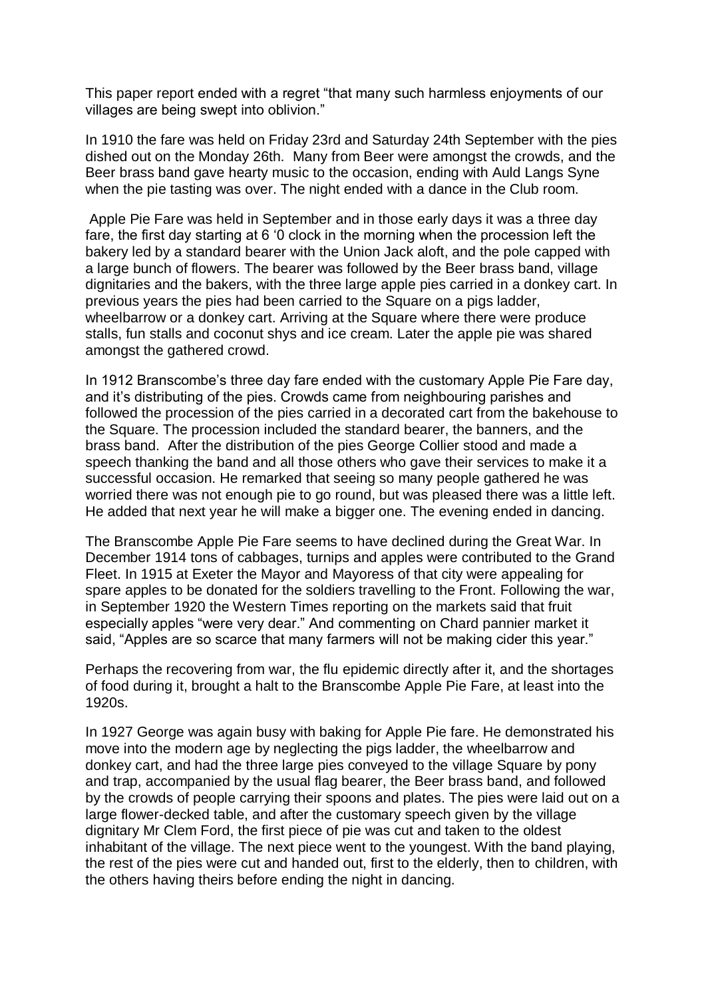This paper report ended with a regret "that many such harmless enjoyments of our villages are being swept into oblivion."

In 1910 the fare was held on Friday 23rd and Saturday 24th September with the pies dished out on the Monday 26th. Many from Beer were amongst the crowds, and the Beer brass band gave hearty music to the occasion, ending with Auld Langs Syne when the pie tasting was over. The night ended with a dance in the Club room.

Apple Pie Fare was held in September and in those early days it was a three day fare, the first day starting at 6 '0 clock in the morning when the procession left the bakery led by a standard bearer with the Union Jack aloft, and the pole capped with a large bunch of flowers. The bearer was followed by the Beer brass band, village dignitaries and the bakers, with the three large apple pies carried in a donkey cart. In previous years the pies had been carried to the Square on a pigs ladder, wheelbarrow or a donkey cart. Arriving at the Square where there were produce stalls, fun stalls and coconut shys and ice cream. Later the apple pie was shared amongst the gathered crowd.

In 1912 Branscombe's three day fare ended with the customary Apple Pie Fare day, and it's distributing of the pies. Crowds came from neighbouring parishes and followed the procession of the pies carried in a decorated cart from the bakehouse to the Square. The procession included the standard bearer, the banners, and the brass band. After the distribution of the pies George Collier stood and made a speech thanking the band and all those others who gave their services to make it a successful occasion. He remarked that seeing so many people gathered he was worried there was not enough pie to go round, but was pleased there was a little left. He added that next year he will make a bigger one. The evening ended in dancing.

The Branscombe Apple Pie Fare seems to have declined during the Great War. In December 1914 tons of cabbages, turnips and apples were contributed to the Grand Fleet. In 1915 at Exeter the Mayor and Mayoress of that city were appealing for spare apples to be donated for the soldiers travelling to the Front. Following the war, in September 1920 the Western Times reporting on the markets said that fruit especially apples "were very dear." And commenting on Chard pannier market it said, "Apples are so scarce that many farmers will not be making cider this year."

Perhaps the recovering from war, the flu epidemic directly after it, and the shortages of food during it, brought a halt to the Branscombe Apple Pie Fare, at least into the 1920s.

In 1927 George was again busy with baking for Apple Pie fare. He demonstrated his move into the modern age by neglecting the pigs ladder, the wheelbarrow and donkey cart, and had the three large pies conveyed to the village Square by pony and trap, accompanied by the usual flag bearer, the Beer brass band, and followed by the crowds of people carrying their spoons and plates. The pies were laid out on a large flower-decked table, and after the customary speech given by the village dignitary Mr Clem Ford, the first piece of pie was cut and taken to the oldest inhabitant of the village. The next piece went to the youngest. With the band playing, the rest of the pies were cut and handed out, first to the elderly, then to children, with the others having theirs before ending the night in dancing.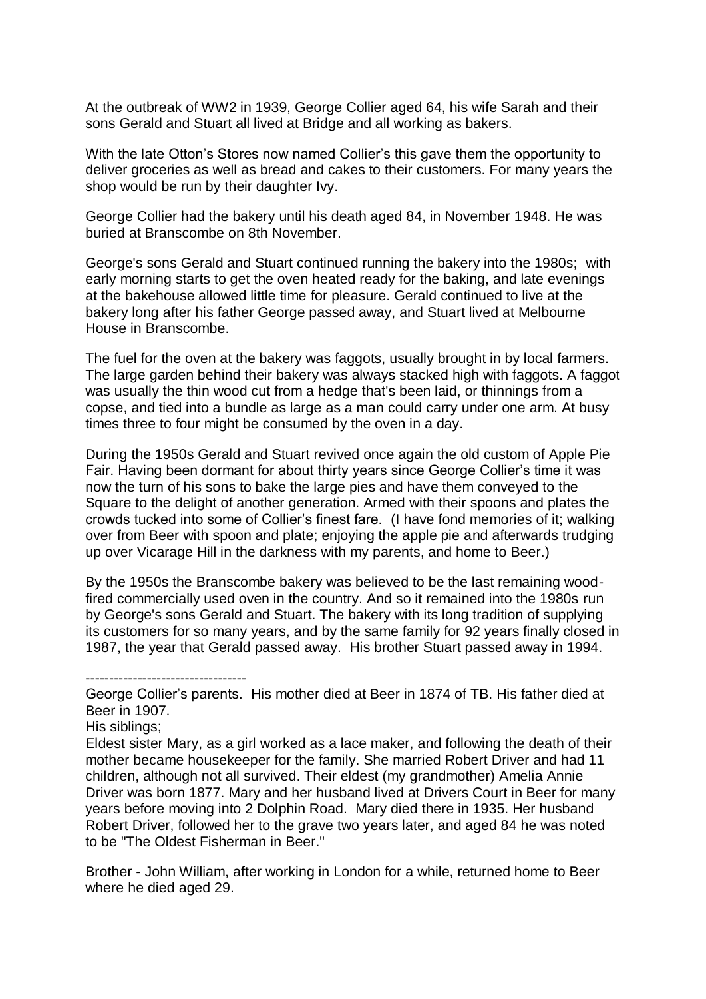At the outbreak of WW2 in 1939, George Collier aged 64, his wife Sarah and their sons Gerald and Stuart all lived at Bridge and all working as bakers.

With the late Otton's Stores now named Collier's this gave them the opportunity to deliver groceries as well as bread and cakes to their customers. For many years the shop would be run by their daughter Ivy.

George Collier had the bakery until his death aged 84, in November 1948. He was buried at Branscombe on 8th November.

George's sons Gerald and Stuart continued running the bakery into the 1980s; with early morning starts to get the oven heated ready for the baking, and late evenings at the bakehouse allowed little time for pleasure. Gerald continued to live at the bakery long after his father George passed away, and Stuart lived at Melbourne House in Branscombe.

The fuel for the oven at the bakery was faggots, usually brought in by local farmers. The large garden behind their bakery was always stacked high with faggots. A faggot was usually the thin wood cut from a hedge that's been laid, or thinnings from a copse, and tied into a bundle as large as a man could carry under one arm. At busy times three to four might be consumed by the oven in a day.

During the 1950s Gerald and Stuart revived once again the old custom of Apple Pie Fair. Having been dormant for about thirty years since George Collier's time it was now the turn of his sons to bake the large pies and have them conveyed to the Square to the delight of another generation. Armed with their spoons and plates the crowds tucked into some of Collier's finest fare. (I have fond memories of it; walking over from Beer with spoon and plate; enjoying the apple pie and afterwards trudging up over Vicarage Hill in the darkness with my parents, and home to Beer.)

By the 1950s the Branscombe bakery was believed to be the last remaining woodfired commercially used oven in the country. And so it remained into the 1980s run by George's sons Gerald and Stuart. The bakery with its long tradition of supplying its customers for so many years, and by the same family for 92 years finally closed in 1987, the year that Gerald passed away. His brother Stuart passed away in 1994.

George Collier's parents. His mother died at Beer in 1874 of TB. His father died at Beer in 1907.

His siblings;

----------------------------------

Eldest sister Mary, as a girl worked as a lace maker, and following the death of their mother became housekeeper for the family. She married Robert Driver and had 11 children, although not all survived. Their eldest (my grandmother) Amelia Annie Driver was born 1877. Mary and her husband lived at Drivers Court in Beer for many years before moving into 2 Dolphin Road. Mary died there in 1935. Her husband Robert Driver, followed her to the grave two years later, and aged 84 he was noted to be "The Oldest Fisherman in Beer."

Brother - John William, after working in London for a while, returned home to Beer where he died aged 29.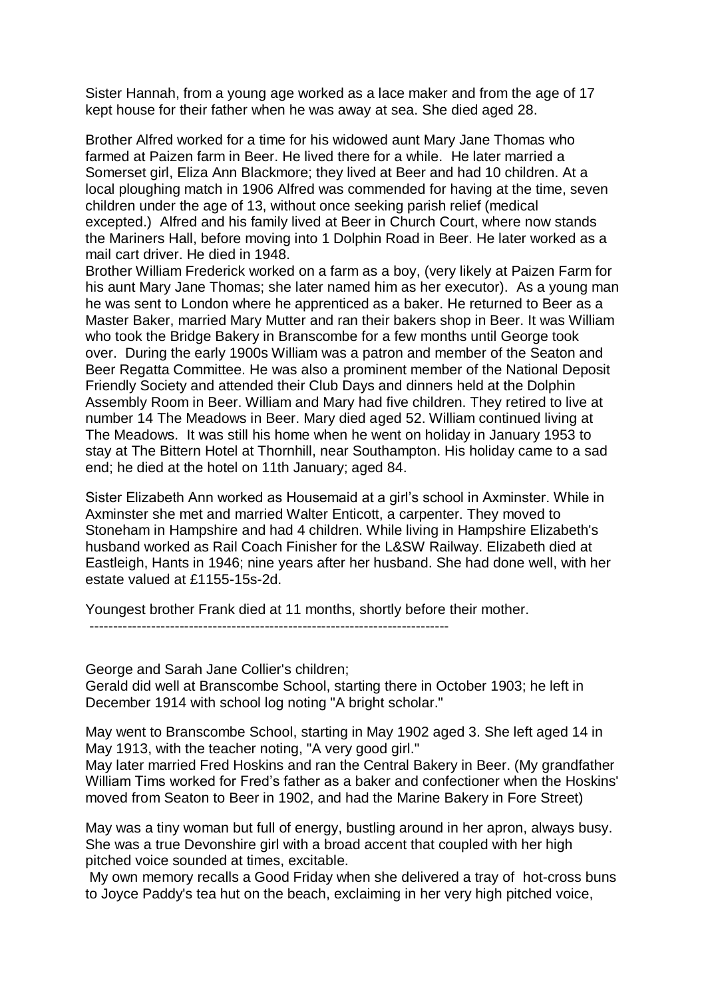Sister Hannah, from a young age worked as a lace maker and from the age of 17 kept house for their father when he was away at sea. She died aged 28.

Brother Alfred worked for a time for his widowed aunt Mary Jane Thomas who farmed at Paizen farm in Beer. He lived there for a while. He later married a Somerset girl, Eliza Ann Blackmore; they lived at Beer and had 10 children. At a local ploughing match in 1906 Alfred was commended for having at the time, seven children under the age of 13, without once seeking parish relief (medical excepted.) Alfred and his family lived at Beer in Church Court, where now stands the Mariners Hall, before moving into 1 Dolphin Road in Beer. He later worked as a mail cart driver. He died in 1948.

Brother William Frederick worked on a farm as a boy, (very likely at Paizen Farm for his aunt Mary Jane Thomas; she later named him as her executor). As a young man he was sent to London where he apprenticed as a baker. He returned to Beer as a Master Baker, married Mary Mutter and ran their bakers shop in Beer. It was William who took the Bridge Bakery in Branscombe for a few months until George took over. During the early 1900s William was a patron and member of the Seaton and Beer Regatta Committee. He was also a prominent member of the National Deposit Friendly Society and attended their Club Days and dinners held at the Dolphin Assembly Room in Beer. William and Mary had five children. They retired to live at number 14 The Meadows in Beer. Mary died aged 52. William continued living at The Meadows. It was still his home when he went on holiday in January 1953 to stay at The Bittern Hotel at Thornhill, near Southampton. His holiday came to a sad end; he died at the hotel on 11th January; aged 84.

Sister Elizabeth Ann worked as Housemaid at a girl's school in Axminster. While in Axminster she met and married Walter Enticott, a carpenter. They moved to Stoneham in Hampshire and had 4 children. While living in Hampshire Elizabeth's husband worked as Rail Coach Finisher for the L&SW Railway. Elizabeth died at Eastleigh, Hants in 1946; nine years after her husband. She had done well, with her estate valued at £1155-15s-2d.

Youngest brother Frank died at 11 months, shortly before their mother.

----------------------------------------------------------------------------

George and Sarah Jane Collier's children; Gerald did well at Branscombe School, starting there in October 1903; he left in December 1914 with school log noting "A bright scholar."

May went to Branscombe School, starting in May 1902 aged 3. She left aged 14 in May 1913, with the teacher noting. "A very good girl."

May later married Fred Hoskins and ran the Central Bakery in Beer. (My grandfather William Tims worked for Fred's father as a baker and confectioner when the Hoskins' moved from Seaton to Beer in 1902, and had the Marine Bakery in Fore Street)

May was a tiny woman but full of energy, bustling around in her apron, always busy. She was a true Devonshire girl with a broad accent that coupled with her high pitched voice sounded at times, excitable.

My own memory recalls a Good Friday when she delivered a tray of hot-cross buns to Joyce Paddy's tea hut on the beach, exclaiming in her very high pitched voice,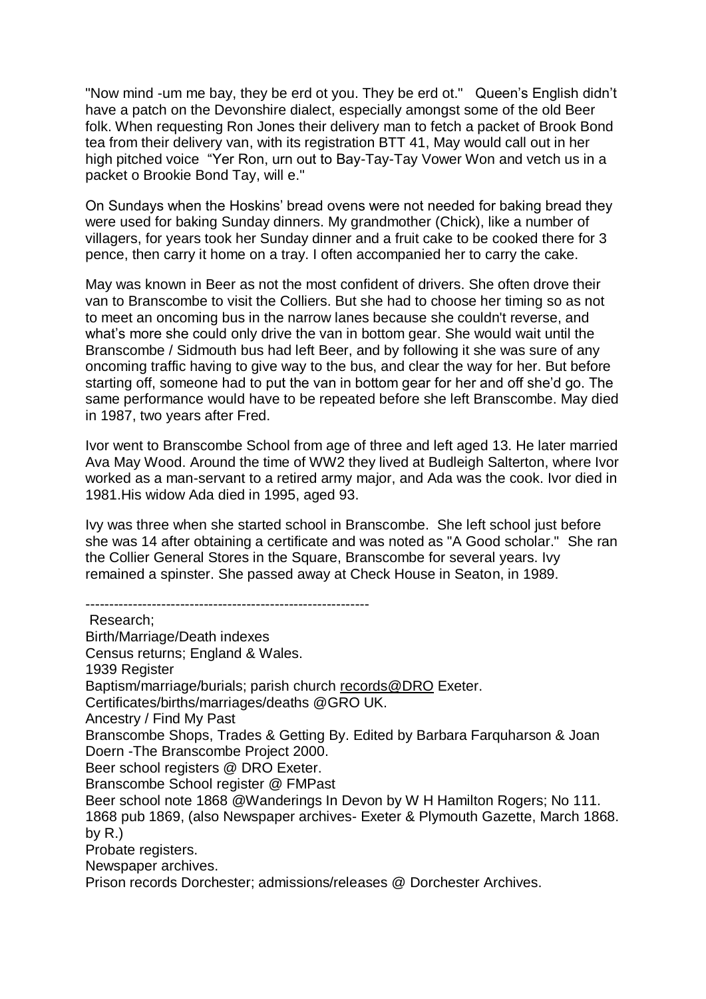"Now mind -um me bay, they be erd ot you. They be erd ot." Queen's English didn't have a patch on the Devonshire dialect, especially amongst some of the old Beer folk. When requesting Ron Jones their delivery man to fetch a packet of Brook Bond tea from their delivery van, with its registration BTT 41, May would call out in her high pitched voice "Yer Ron, urn out to Bay-Tay-Tay Vower Won and vetch us in a packet o Brookie Bond Tay, will e."

On Sundays when the Hoskins' bread ovens were not needed for baking bread they were used for baking Sunday dinners. My grandmother (Chick), like a number of villagers, for years took her Sunday dinner and a fruit cake to be cooked there for 3 pence, then carry it home on a tray. I often accompanied her to carry the cake.

May was known in Beer as not the most confident of drivers. She often drove their van to Branscombe to visit the Colliers. But she had to choose her timing so as not to meet an oncoming bus in the narrow lanes because she couldn't reverse, and what's more she could only drive the van in bottom gear. She would wait until the Branscombe / Sidmouth bus had left Beer, and by following it she was sure of any oncoming traffic having to give way to the bus, and clear the way for her. But before starting off, someone had to put the van in bottom gear for her and off she'd go. The same performance would have to be repeated before she left Branscombe. May died in 1987, two years after Fred.

Ivor went to Branscombe School from age of three and left aged 13. He later married Ava May Wood. Around the time of WW2 they lived at Budleigh Salterton, where Ivor worked as a man-servant to a retired army major, and Ada was the cook. Ivor died in 1981.His widow Ada died in 1995, aged 93.

Ivy was three when she started school in Branscombe. She left school just before she was 14 after obtaining a certificate and was noted as "A Good scholar." She ran the Collier General Stores in the Square, Branscombe for several years. Ivy remained a spinster. She passed away at Check House in Seaton, in 1989.

------------------------------------------------------------ Research; Birth/Marriage/Death indexes Census returns; England & Wales. 1939 Register Baptism/marriage/burials; parish church [records@DRO](mailto:records@DRO) Exeter. Certificates/births/marriages/deaths @GRO UK. Ancestry / Find My Past Branscombe Shops, Trades & Getting By. Edited by Barbara Farquharson & Joan Doern -The Branscombe Project 2000. Beer school registers @ DRO Exeter. Branscombe School register @ FMPast Beer school note 1868 @Wanderings In Devon by W H Hamilton Rogers; No 111. 1868 pub 1869, (also Newspaper archives- Exeter & Plymouth Gazette, March 1868. by  $R.$ ) Probate registers. Newspaper archives. Prison records Dorchester; admissions/releases @ Dorchester Archives.